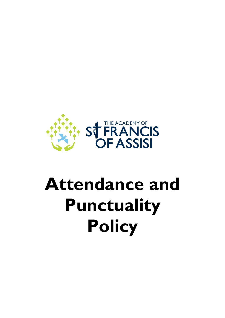

# **Attendance and Punctuality Policy**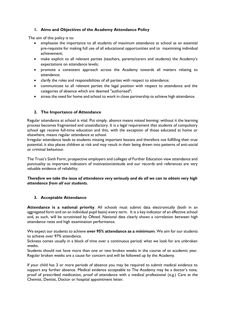# **1. Aims and Objectives of the Academy Attendance Policy**

The aim of this policy is to:

- emphasise the importance to all students of maximum attendance at school as an essential pre-requisite for making full use of all educational opportunities and to maximising individual achievement;
- make explicit to all relevant parties (teachers, parents/carers and students) the Academy's expectations on attendance levels;
- promote a consistent approach across the Academy towards all matters relating to attendance;
- clarify the roles and responsibilities of all parties with respect to attendance;
- communicate to all relevant parties the legal position with respect to attendance and the categories of absence which are deemed "authorised";
- stress the need for home and school to work in close partnership to achieve high attendance.

# **2. The Importance of Attendance**

Regular attendance at school is vital. Put simply, *absence* means *missed learning*; without it the learning process becomes fragmented and unsatisfactory. It is a legal requirement that students of compulsory school age receive full-time education and this, with the exception of those educated at home or elsewhere, means regular attendance at school.

Irregular attendance leads to students missing important lessons and therefore not fulfilling their true potential; it also places children at risk and may result in their being drawn into patterns of anti-social or criminal behaviour.

The Trust's Sixth Form, prospective employers and colleges of Further Education view attendance and punctuality as important indicators of motivation/attitude and our records and references are very valuable evidence of reliability.

## *Therefore we take the issue of attendance very seriously and do all we can to obtain very high attendance from all our students.*

# **3. Acceptable Attendance**

**Attendance is a national priority**. All schools must submit data electronically (both in an aggregated form and on an individual pupil basis) every term. It is a key indicator of an effective school and, as such, will be scrutinised by Ofsted. National data clearly shows a correlation between high attendance rates and high examination performance.

We expect our students to achieve **over 95% attendance as a minimum**. We aim for our students to achieve over 97% attendance.

Sickness comes usually in a block of time over a continuous period; what we look for are unbroken weeks.

Students should not have more than one or two broken weeks in the course of an academic year. Regular broken weeks are a cause for concern and will be followed up by the Academy.

If your child has 3 or more periods of absence you may be required to submit medical evidence to support any further absence. Medical evidence acceptable to The Academy may be a doctor's note, proof of prescribed medication, proof of attendance with a medical professional (e.g.) Care at the Chemist, Dentist, Doctor or hospital appointment letter.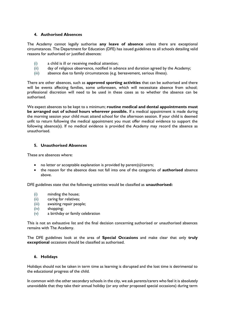## **4. Authorised Absences**

The Academy cannot legally authorise **any leave of absence** unless there are exceptional circumstances. The Department for Education (DFE) has issued guidelines to all schools detailing valid reasons for authorised or justified absences:

- (i) a child is ill or receiving medical attention;
- (ii) day of religious observance, notified in advance and duration agreed by the Academy;
- (iii) absence due to family circumstances (e.g. bereavement, serious illness).

There are other absences, such as **approved sporting activities** that can be authorised and there will be events affecting families, some unforeseen, which will necessitate absence from school; professional discretion will need to be used in these cases as to whether the absence can be authorised.

We expect absences to be kept to a minimum; **routine medical and dental appointments must be arranged out of school hours wherever possible.** If a medical appointment is made during the morning session your child must attend school for the afternoon session. If your child is deemed unfit to return following the medical appointment you must offer medical evidence to support the following absence(s). If no medical evidence is provided the Academy may record the absence as unauthorised.

## **5. Unauthorised Absences**

These are absences where:

- no letter or acceptable explanation is provided by parent(s)/carers;
- the reason for the absence does not fall into one of the categories of **authorised** absence above.

DFE guidelines state that the following activities would be classified as **unauthorised:**

- (i) minding the house;
- (ii) caring for relatives;
- (iii) awaiting repair people;
- (iv) shopping;
- (v) a birthday or family celebration

This is not an exhaustive list and the final decision concerning authorised or unauthorised absences remains with The Academy.

The DFE guidelines look at the area of **Special Occasions** and make clear that only **truly exceptional** occasions should be classified as authorised.

#### **6. Holidays**

Holidays should not be taken in term time as learning is disrupted and the lost time is detrimental to the educational progress of the child.

In common with the other secondary schools in the city, we ask parents/carers who feel it is absolutely unavoidable that they take their annual holiday (or any other proposed special occasions) during term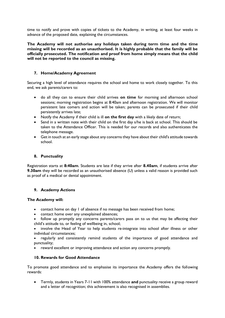time to notify and prove with copies of tickets to the Academy, in writing, at least four weeks in advance of the proposed date, explaining the circumstances.

**The Academy will not authorise any holidays taken during term time and the time missing will be recorded as an unauthorised. It is highly probable that the family will be officially prosecuted. The notification and proof from home simply means that the child will not be reported to the council as missing.**

# **7. Home/Academy Agreement**

Securing a high level of attendance requires the school and home to work closely together. To this end, we ask parents/carers to:

- do all they can to ensure their child arrives **on time** for morning and afternoon school sessions; morning registration begins at 8:40am and afternoon registration. We will monitor persistent late comers and action will be taken; parents can be prosecuted if their child persistently arrives late;
- Notify the Academy if their child is ill **on the first day** with a likely date of return;
- Send in a written note with their child on the first day s/he is back at school. This should be taken to the Attendance Officer. This is needed for our records and also authenticates the telephone message.
- Get in touch at an early stage about any concerns they have about their child's attitude towards school.

# **8. Punctuality**

Registration starts at **8:40am**. Students are late if they arrive after **8.40am**, if students arrive after **9.30am** they will be recorded as an unauthorised absence (U) unless a valid reason is provided such as proof of a medical or dental appointment.

# **9. Academy Actions**

# **The Academy will:**

- contact home on day 1 of absence if no message has been received from home;
- contact home over any unexplained absences;
- follow up promptly any concerns parents/carers pass on to us that may be affecting their child's attitude to, or feeling of wellbeing in, school;
- involve the Head of Year to help students re-integrate into school after illness or other individual circumstances;
- regularly and consistently remind students of the importance of good attendance and punctuality;
- reward excellent or improving attendance and action any concerns promptly.

# **10. Rewards for Good Attendance**

To promote good attendance and to emphasise its importance the Academy offers the following rewards:

• Termly, students in Years 7-11 with 100% attendance **and** punctuality receive a group reward and a letter of recognition; this achievement is also recognised in assemblies.